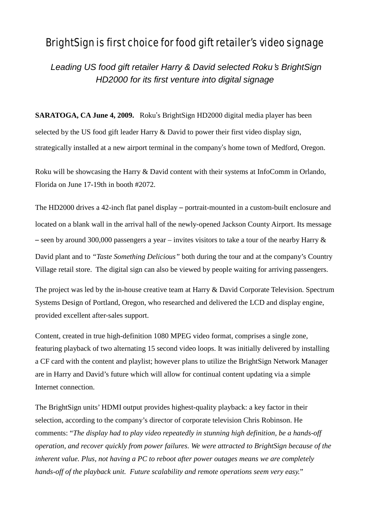## BrightSign is first choice for food gift retailer's video signage

*Leading US food gift retailer Harry & David selected Roku*'*s BrightSign HD2000 for its first venture into digital signage*

**SARATOGA, CA June 4, 2009.** Roku's BrightSign HD2000 digital media player has been selected by the US food gift leader Harry & David to power their first video display sign, strategically installed at a new airport terminal in the company's home town of Medford, Oregon.

Roku will be showcasing the Harry & David content with their systems at InfoComm in Orlando, Florida on June 17-19th in booth #2072.

The HD2000 drives a 42-inch flat panel display – portrait-mounted in a custom-built enclosure and located on a blank wall in the arrival hall of the newly-opened Jackson County Airport. Its message – seen by around 300,000 passengers a year – invites visitors to take a tour of the nearby Harry  $\&$ David plant and to *"Taste Something Delicious"* both during the tour and at the company's Country Village retail store. The digital sign can also be viewed by people waiting for arriving passengers.

The project was led by the in-house creative team at Harry & David Corporate Television. Spectrum Systems Design of Portland, Oregon, who researched and delivered the LCD and display engine, provided excellent after-sales support.

Content, created in true high-definition 1080 MPEG video format, comprises a single zone, featuring playback of two alternating 15 second video loops. It was initially delivered by installing a CF card with the content and playlist; however plans to utilize the BrightSign Network Manager are in Harry and David's future which will allow for continual content updating via a simple Internet connection.

The BrightSign units' HDMI output provides highest-quality playback: a key factor in their selection, according to the company's director of corporate television Chris Robinson. He comments: "*The display had to play video repeatedly in stunning high definition, be a hands-off operation, and recover quickly from power failures. We were attracted to BrightSign because of the inherent value. Plus, not having a PC to reboot after power outages means we are completely hands-off of the playback unit. Future scalability and remote operations seem very easy.*"